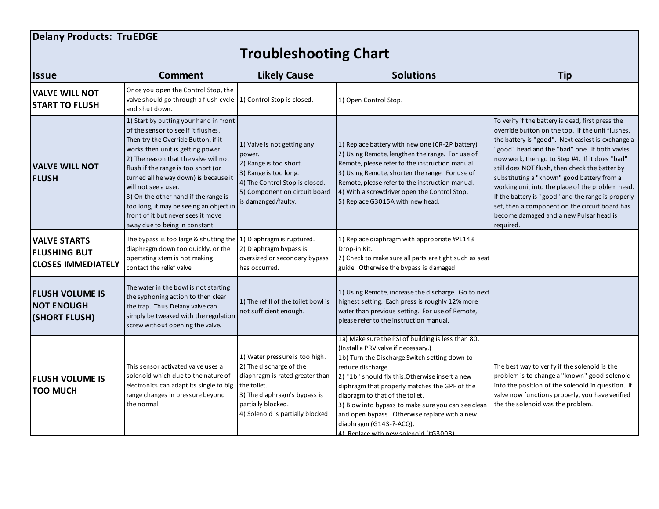## **Delany Products: TruEDGE**

## **Troubleshooting Chart**

| <b>Issue</b>                                                            | Comment                                                                                                                                                                                                                                                                                                                                                                                                                                                              | <b>Likely Cause</b>                                                                                                                                                                                    | <b>Solutions</b>                                                                                                                                                                                                                                                                                                                                                                                                                                                                  | <b>Tip</b>                                                                                                                                                                                                                                                                                                                                                                                                                                                                                                                                                                        |
|-------------------------------------------------------------------------|----------------------------------------------------------------------------------------------------------------------------------------------------------------------------------------------------------------------------------------------------------------------------------------------------------------------------------------------------------------------------------------------------------------------------------------------------------------------|--------------------------------------------------------------------------------------------------------------------------------------------------------------------------------------------------------|-----------------------------------------------------------------------------------------------------------------------------------------------------------------------------------------------------------------------------------------------------------------------------------------------------------------------------------------------------------------------------------------------------------------------------------------------------------------------------------|-----------------------------------------------------------------------------------------------------------------------------------------------------------------------------------------------------------------------------------------------------------------------------------------------------------------------------------------------------------------------------------------------------------------------------------------------------------------------------------------------------------------------------------------------------------------------------------|
| <b>VALVE WILL NOT</b><br><b>START TO FLUSH</b>                          | Once you open the Control Stop, the<br>valve should go through a flush cycle 1) Control Stop is closed.<br>and shut down.                                                                                                                                                                                                                                                                                                                                            |                                                                                                                                                                                                        | 1) Open Control Stop.                                                                                                                                                                                                                                                                                                                                                                                                                                                             |                                                                                                                                                                                                                                                                                                                                                                                                                                                                                                                                                                                   |
| <b>VALVE WILL NOT</b><br><b>FLUSH</b>                                   | 1) Start by putting your hand in front<br>of the sensor to see if it flushes.<br>Then try the Override Button, if it<br>works then unit is getting power.<br>2) The reason that the valve will not<br>flush if the range is too short (or<br>turned all he way down) is because it<br>will not see a user.<br>3) On the other hand if the range is<br>too long, it may be seeing an object in<br>front of it but never sees it move<br>away due to being in constant | 1) Valve is not getting any<br>power.<br>2) Range is too short.<br>3) Range is too long.<br>4) The Control Stop is closed.<br>5) Component on circuit board<br>is damanged/faulty.                     | 1) Replace battery with new one (CR-2P battery)<br>2) Using Remote, lengthen the range. For use of<br>Remote, please refer to the instruction manual.<br>3) Using Remote, shorten the range. For use of<br>Remote, please refer to the instruction manual.<br>4) With a screwdriver open the Control Stop.<br>5) Replace G3015A with new head.                                                                                                                                    | To verify if the battery is dead, first press the<br>override button on the top. If the unit flushes,<br>the battery is "good". Next easiest is exchange a<br>'good" head and the "bad" one. If both vavles<br>now work, then go to Step #4. If it does "bad"<br>still does NOT flush, then check the batter by<br>substituting a "known" good battery from a<br>working unit into the place of the problem head.<br>If the battery is "good" and the range is properly<br>set, then a component on the circuit board has<br>become damaged and a new Pulsar head is<br>required. |
| <b>VALVE STARTS</b><br><b>FLUSHING BUT</b><br><b>CLOSES IMMEDIATELY</b> | The bypass is too large & shutting the $ 1\rangle$ Diaphragm is ruptured.<br>diaphragm down too quickly, or the<br>opertating stem is not making<br>contact the relief valve                                                                                                                                                                                                                                                                                         | 2) Diaphragm bypass is<br>oversized or secondary bypass<br>has occurred.                                                                                                                               | 1) Replace diaphragm with appropriate #PL143<br>Drop-in Kit.<br>2) Check to make sure all parts are tight such as seat<br>guide. Otherwise the bypass is damaged.                                                                                                                                                                                                                                                                                                                 |                                                                                                                                                                                                                                                                                                                                                                                                                                                                                                                                                                                   |
| <b>FLUSH VOLUME IS</b><br><b>NOT ENOUGH</b><br>(SHORT FLUSH)            | The water in the bowl is not starting<br>the syphoning action to then clear<br>the trap. Thus Delany valve can<br>simply be tweaked with the regulation<br>screw without opening the valve.                                                                                                                                                                                                                                                                          | 1) The refill of the toilet bowl is<br>not sufficient enough.                                                                                                                                          | 1) Using Remote, increase the discharge. Go to next<br>highest setting. Each press is roughly 12% more<br>water than previous setting. For use of Remote,<br>please refer to the instruction manual.                                                                                                                                                                                                                                                                              |                                                                                                                                                                                                                                                                                                                                                                                                                                                                                                                                                                                   |
| <b>FLUSH VOLUME IS</b><br><b>TOO MUCH</b>                               | This sensor activated valve uses a<br>solenoid which due to the nature of<br>electronics can adapt its single to big<br>range changes in pressure beyond<br>the normal.                                                                                                                                                                                                                                                                                              | 1) Water pressure is too high.<br>2) The discharge of the<br>diaphragm is rated greater than<br>the toilet.<br>3) The diaphragm's bypass is<br>partially blocked.<br>4) Solenoid is partially blocked. | 1a) Make sure the PSI of building is less than 80.<br>(Install a PRV valve if necessary.)<br>1b) Turn the Discharge Switch setting down to<br>reduce discharge.<br>2) "1b" should fix this. Otherwise insert a new<br>diphragm that properly matches the GPF of the<br>diapragm to that of the toilet.<br>3) Blow into bypass to make sure you can see clean<br>and open bypass. Otherwise replace with a new<br>diaphragm (G143-?-ACQ).<br>4) Replace with new solenoid (#G3008) | The best way to verify if the solenoid is the<br>problem is to change a "known" good solenoid<br>into the position of the solenoid in question. If<br>valve now functions properly, you have verified<br>the the solenoid was the problem.                                                                                                                                                                                                                                                                                                                                        |